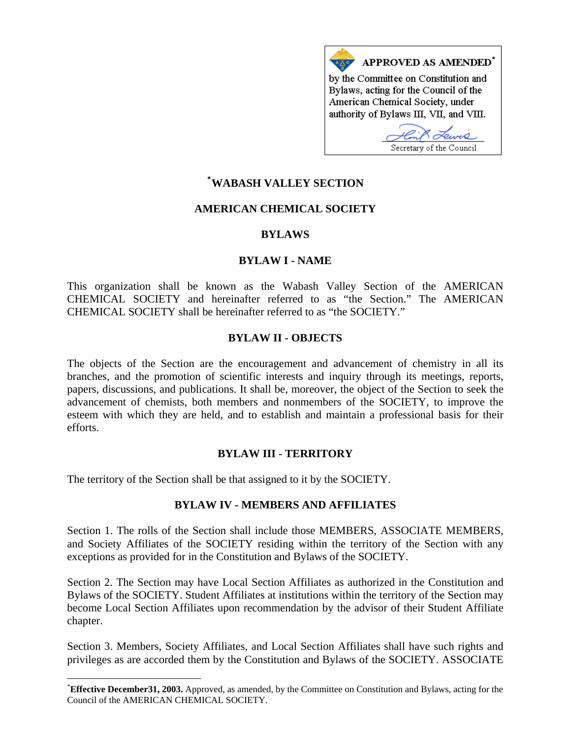

# **\* [WABASH VALLEY SECTION](#page-0-0)**

#### **AMERICAN CHEMICAL SOCIETY**

#### **BYLAWS**

#### **BYLAW I - NAME**

This organization shall be known as the Wabash Valley Section of the AMERICAN CHEMICAL SOCIETY and hereinafter referred to as "the Section." The AMERICAN CHEMICAL SOCIETY shall be hereinafter referred to as "the SOCIETY."

#### **BYLAW II - OBJECTS**

The objects of the Section are the encouragement and advancement of chemistry in all its branches, and the promotion of scientific interests and inquiry through its meetings, reports, papers, discussions, and publications. It shall be, moreover, the object of the Section to seek the advancement of chemists, both members and nonmembers of the SOCIETY, to improve the esteem with which they are held, and to establish and maintain a professional basis for their efforts.

#### **BYLAW III - TERRITORY**

The territory of the Section shall be that assigned to it by the SOCIETY.

1

### **BYLAW IV - MEMBERS AND AFFILIATES**

Section 1. The rolls of the Section shall include those MEMBERS, ASSOCIATE MEMBERS, and Society Affiliates of the SOCIETY residing within the territory of the Section with any exceptions as provided for in the Constitution and Bylaws of the SOCIETY.

Section 2. The Section may have Local Section Affiliates as authorized in the Constitution and Bylaws of the SOCIETY. Student Affiliates at institutions within the territory of the Section may become Local Section Affiliates upon recommendation by the advisor of their Student Affiliate chapter.

Section 3. Members, Society Affiliates, and Local Section Affiliates shall have such rights and privileges as are accorded them by the Constitution and Bylaws of the SOCIETY. ASSOCIATE

<span id="page-0-0"></span><sup>\*</sup> **Effective December31, 2003.** Approved, as amended, by the Committee on Constitution and Bylaws, acting for the Council of the AMERICAN CHEMICAL SOCIETY.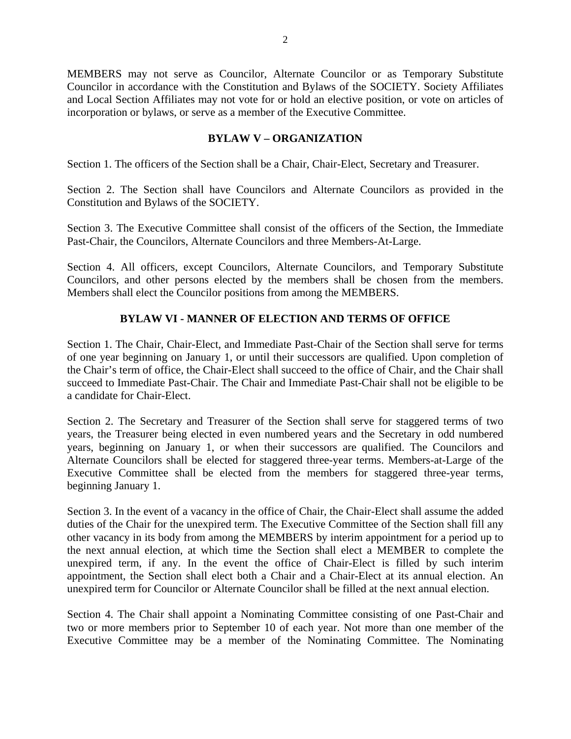MEMBERS may not serve as Councilor, Alternate Councilor or as Temporary Substitute Councilor in accordance with the Constitution and Bylaws of the SOCIETY. Society Affiliates and Local Section Affiliates may not vote for or hold an elective position, or vote on articles of incorporation or bylaws, or serve as a member of the Executive Committee.

## **BYLAW V – ORGANIZATION**

Section 1. The officers of the Section shall be a Chair, Chair-Elect, Secretary and Treasurer.

Section 2. The Section shall have Councilors and Alternate Councilors as provided in the Constitution and Bylaws of the SOCIETY.

Section 3. The Executive Committee shall consist of the officers of the Section, the Immediate Past-Chair, the Councilors, Alternate Councilors and three Members-At-Large.

Section 4. All officers, except Councilors, Alternate Councilors, and Temporary Substitute Councilors, and other persons elected by the members shall be chosen from the members. Members shall elect the Councilor positions from among the MEMBERS.

# **BYLAW VI - MANNER OF ELECTION AND TERMS OF OFFICE**

Section 1. The Chair, Chair-Elect, and Immediate Past-Chair of the Section shall serve for terms of one year beginning on January 1, or until their successors are qualified. Upon completion of the Chair's term of office, the Chair-Elect shall succeed to the office of Chair, and the Chair shall succeed to Immediate Past-Chair. The Chair and Immediate Past-Chair shall not be eligible to be a candidate for Chair-Elect.

Section 2. The Secretary and Treasurer of the Section shall serve for staggered terms of two years, the Treasurer being elected in even numbered years and the Secretary in odd numbered years, beginning on January 1, or when their successors are qualified. The Councilors and Alternate Councilors shall be elected for staggered three-year terms. Members-at-Large of the Executive Committee shall be elected from the members for staggered three-year terms, beginning January 1.

Section 3. In the event of a vacancy in the office of Chair, the Chair-Elect shall assume the added duties of the Chair for the unexpired term. The Executive Committee of the Section shall fill any other vacancy in its body from among the MEMBERS by interim appointment for a period up to the next annual election, at which time the Section shall elect a MEMBER to complete the unexpired term, if any. In the event the office of Chair-Elect is filled by such interim appointment, the Section shall elect both a Chair and a Chair-Elect at its annual election. An unexpired term for Councilor or Alternate Councilor shall be filled at the next annual election.

Section 4. The Chair shall appoint a Nominating Committee consisting of one Past-Chair and two or more members prior to September 10 of each year. Not more than one member of the Executive Committee may be a member of the Nominating Committee. The Nominating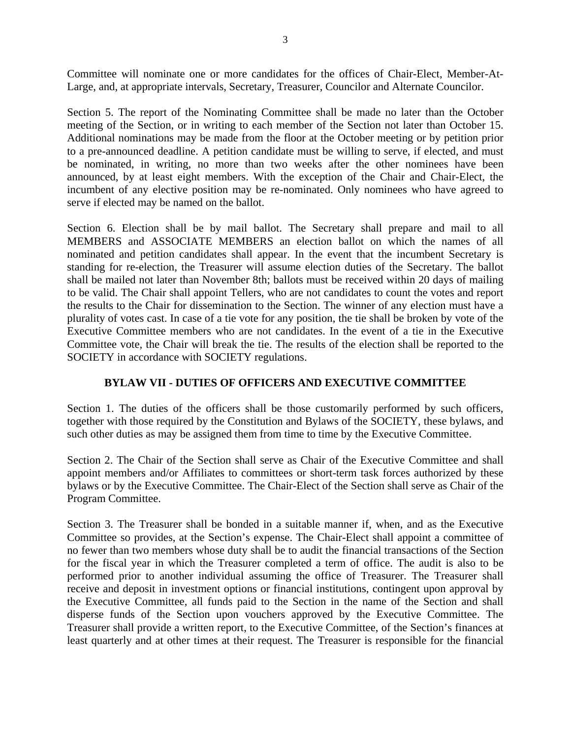Committee will nominate one or more candidates for the offices of Chair-Elect, Member-At-Large, and, at appropriate intervals, Secretary, Treasurer, Councilor and Alternate Councilor.

Section 5. The report of the Nominating Committee shall be made no later than the October meeting of the Section, or in writing to each member of the Section not later than October 15. Additional nominations may be made from the floor at the October meeting or by petition prior to a pre-announced deadline. A petition candidate must be willing to serve, if elected, and must be nominated, in writing, no more than two weeks after the other nominees have been announced, by at least eight members. With the exception of the Chair and Chair-Elect, the incumbent of any elective position may be re-nominated. Only nominees who have agreed to serve if elected may be named on the ballot.

Section 6. Election shall be by mail ballot. The Secretary shall prepare and mail to all MEMBERS and ASSOCIATE MEMBERS an election ballot on which the names of all nominated and petition candidates shall appear. In the event that the incumbent Secretary is standing for re-election, the Treasurer will assume election duties of the Secretary. The ballot shall be mailed not later than November 8th; ballots must be received within 20 days of mailing to be valid. The Chair shall appoint Tellers, who are not candidates to count the votes and report the results to the Chair for dissemination to the Section. The winner of any election must have a plurality of votes cast. In case of a tie vote for any position, the tie shall be broken by vote of the Executive Committee members who are not candidates. In the event of a tie in the Executive Committee vote, the Chair will break the tie. The results of the election shall be reported to the SOCIETY in accordance with SOCIETY regulations.

# **BYLAW VII - DUTIES OF OFFICERS AND EXECUTIVE COMMITTEE**

Section 1. The duties of the officers shall be those customarily performed by such officers, together with those required by the Constitution and Bylaws of the SOCIETY, these bylaws, and such other duties as may be assigned them from time to time by the Executive Committee.

Section 2. The Chair of the Section shall serve as Chair of the Executive Committee and shall appoint members and/or Affiliates to committees or short-term task forces authorized by these bylaws or by the Executive Committee. The Chair-Elect of the Section shall serve as Chair of the Program Committee.

Section 3. The Treasurer shall be bonded in a suitable manner if, when, and as the Executive Committee so provides, at the Section's expense. The Chair-Elect shall appoint a committee of no fewer than two members whose duty shall be to audit the financial transactions of the Section for the fiscal year in which the Treasurer completed a term of office. The audit is also to be performed prior to another individual assuming the office of Treasurer. The Treasurer shall receive and deposit in investment options or financial institutions, contingent upon approval by the Executive Committee, all funds paid to the Section in the name of the Section and shall disperse funds of the Section upon vouchers approved by the Executive Committee. The Treasurer shall provide a written report, to the Executive Committee, of the Section's finances at least quarterly and at other times at their request. The Treasurer is responsible for the financial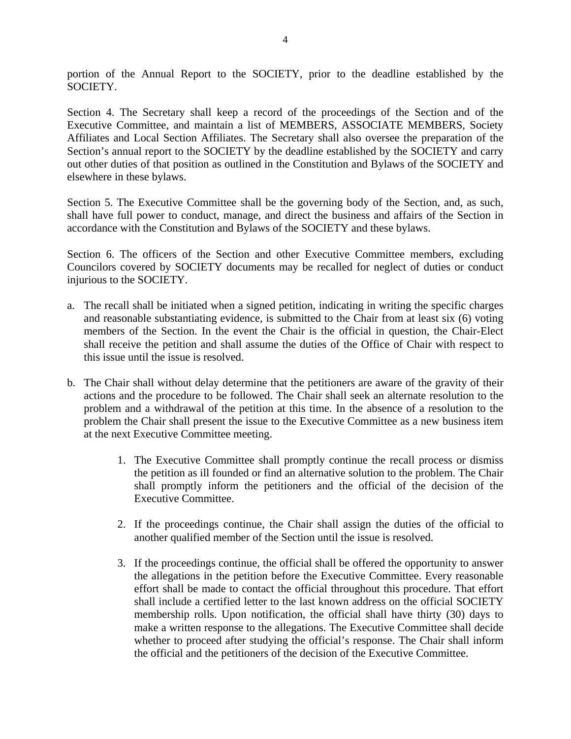portion of the Annual Report to the SOCIETY, prior to the deadline established by the SOCIETY.

Section 4. The Secretary shall keep a record of the proceedings of the Section and of the Executive Committee, and maintain a list of MEMBERS, ASSOCIATE MEMBERS, Society Affiliates and Local Section Affiliates. The Secretary shall also oversee the preparation of the Section's annual report to the SOCIETY by the deadline established by the SOCIETY and carry out other duties of that position as outlined in the Constitution and Bylaws of the SOCIETY and elsewhere in these bylaws.

Section 5. The Executive Committee shall be the governing body of the Section, and, as such, shall have full power to conduct, manage, and direct the business and affairs of the Section in accordance with the Constitution and Bylaws of the SOCIETY and these bylaws.

Section 6. The officers of the Section and other Executive Committee members, excluding Councilors covered by SOCIETY documents may be recalled for neglect of duties or conduct injurious to the SOCIETY.

- a. The recall shall be initiated when a signed petition, indicating in writing the specific charges and reasonable substantiating evidence, is submitted to the Chair from at least six (6) voting members of the Section. In the event the Chair is the official in question, the Chair-Elect shall receive the petition and shall assume the duties of the Office of Chair with respect to this issue until the issue is resolved.
- b. The Chair shall without delay determine that the petitioners are aware of the gravity of their actions and the procedure to be followed. The Chair shall seek an alternate resolution to the problem and a withdrawal of the petition at this time. In the absence of a resolution to the problem the Chair shall present the issue to the Executive Committee as a new business item at the next Executive Committee meeting.
	- 1. The Executive Committee shall promptly continue the recall process or dismiss the petition as ill founded or find an alternative solution to the problem. The Chair shall promptly inform the petitioners and the official of the decision of the Executive Committee.
	- 2. If the proceedings continue, the Chair shall assign the duties of the official to another qualified member of the Section until the issue is resolved.
	- 3. If the proceedings continue, the official shall be offered the opportunity to answer the allegations in the petition before the Executive Committee. Every reasonable effort shall be made to contact the official throughout this procedure. That effort shall include a certified letter to the last known address on the official SOCIETY membership rolls. Upon notification, the official shall have thirty (30) days to make a written response to the allegations. The Executive Committee shall decide whether to proceed after studying the official's response. The Chair shall inform the official and the petitioners of the decision of the Executive Committee.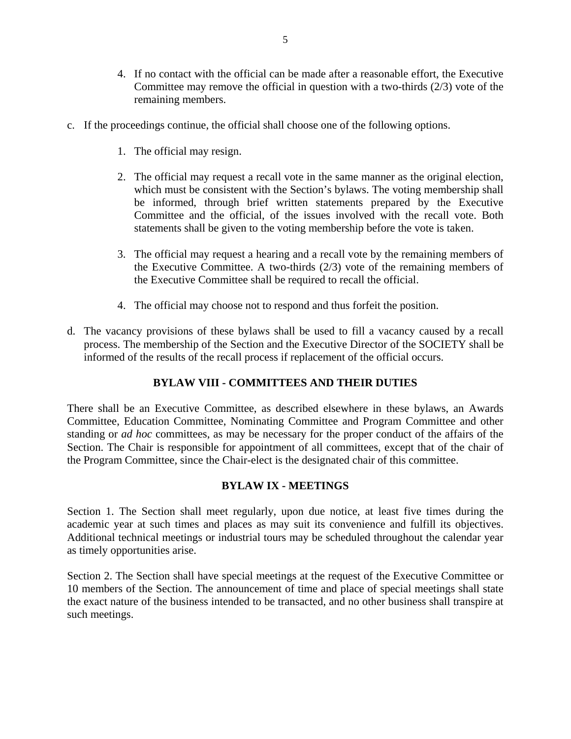- 4. If no contact with the official can be made after a reasonable effort, the Executive Committee may remove the official in question with a two-thirds (2/3) vote of the remaining members.
- c. If the proceedings continue, the official shall choose one of the following options.
	- 1. The official may resign.
	- 2. The official may request a recall vote in the same manner as the original election, which must be consistent with the Section's bylaws. The voting membership shall be informed, through brief written statements prepared by the Executive Committee and the official, of the issues involved with the recall vote. Both statements shall be given to the voting membership before the vote is taken.
	- 3. The official may request a hearing and a recall vote by the remaining members of the Executive Committee. A two-thirds (2/3) vote of the remaining members of the Executive Committee shall be required to recall the official.
	- 4. The official may choose not to respond and thus forfeit the position.
- d. The vacancy provisions of these bylaws shall be used to fill a vacancy caused by a recall process. The membership of the Section and the Executive Director of the SOCIETY shall be informed of the results of the recall process if replacement of the official occurs.

# **BYLAW VIII - COMMITTEES AND THEIR DUTIES**

There shall be an Executive Committee, as described elsewhere in these bylaws, an Awards Committee, Education Committee, Nominating Committee and Program Committee and other standing or *ad hoc* committees, as may be necessary for the proper conduct of the affairs of the Section. The Chair is responsible for appointment of all committees, except that of the chair of the Program Committee, since the Chair-elect is the designated chair of this committee.

# **BYLAW IX - MEETINGS**

Section 1. The Section shall meet regularly, upon due notice, at least five times during the academic year at such times and places as may suit its convenience and fulfill its objectives. Additional technical meetings or industrial tours may be scheduled throughout the calendar year as timely opportunities arise.

Section 2. The Section shall have special meetings at the request of the Executive Committee or 10 members of the Section. The announcement of time and place of special meetings shall state the exact nature of the business intended to be transacted, and no other business shall transpire at such meetings.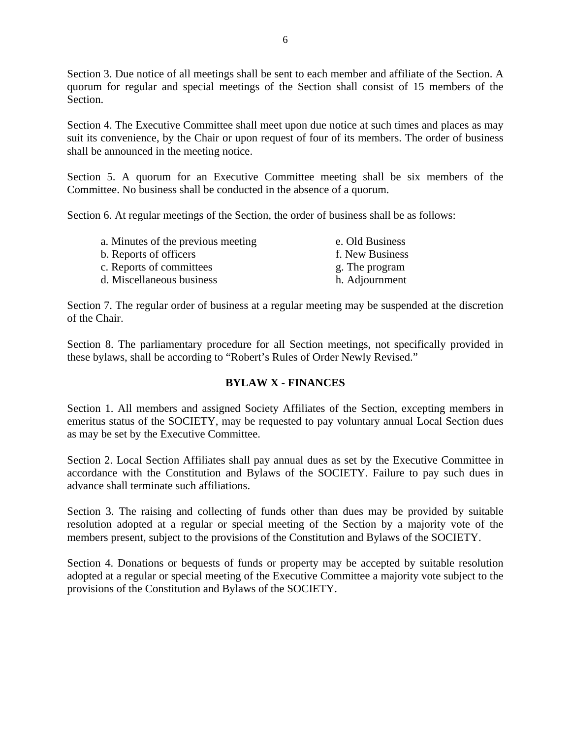Section 3. Due notice of all meetings shall be sent to each member and affiliate of the Section. A quorum for regular and special meetings of the Section shall consist of 15 members of the Section.

Section 4. The Executive Committee shall meet upon due notice at such times and places as may suit its convenience, by the Chair or upon request of four of its members. The order of business shall be announced in the meeting notice.

Section 5. A quorum for an Executive Committee meeting shall be six members of the Committee. No business shall be conducted in the absence of a quorum.

Section 6. At regular meetings of the Section, the order of business shall be as follows:

| a. Minutes of the previous meeting | e. Old Business |
|------------------------------------|-----------------|
| b. Reports of officers             | f. New Business |
| c. Reports of committees           | g. The program  |
| d. Miscellaneous business          | h. Adjournment  |
|                                    |                 |

Section 7. The regular order of business at a regular meeting may be suspended at the discretion of the Chair.

Section 8. The parliamentary procedure for all Section meetings, not specifically provided in these bylaws, shall be according to "Robert's Rules of Order Newly Revised."

# **BYLAW X - FINANCES**

Section 1. All members and assigned Society Affiliates of the Section, excepting members in emeritus status of the SOCIETY, may be requested to pay voluntary annual Local Section dues as may be set by the Executive Committee.

Section 2. Local Section Affiliates shall pay annual dues as set by the Executive Committee in accordance with the Constitution and Bylaws of the SOCIETY. Failure to pay such dues in advance shall terminate such affiliations.

Section 3. The raising and collecting of funds other than dues may be provided by suitable resolution adopted at a regular or special meeting of the Section by a majority vote of the members present, subject to the provisions of the Constitution and Bylaws of the SOCIETY.

Section 4. Donations or bequests of funds or property may be accepted by suitable resolution adopted at a regular or special meeting of the Executive Committee a majority vote subject to the provisions of the Constitution and Bylaws of the SOCIETY.